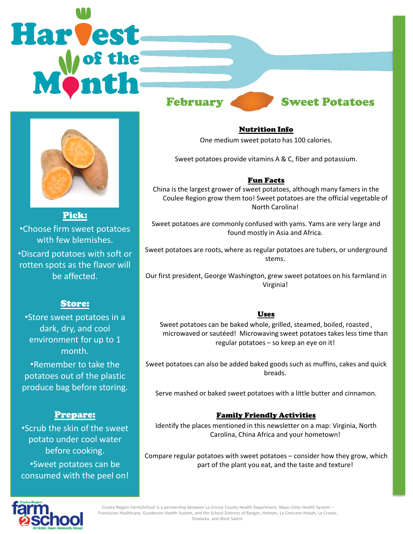# **Harvest** February Sweet Potatoes



Pick: •Choose firm sweet potatoes with few blemishes. •Discard potatoes with soft or rotten spots as the flavor will be affected.

# Store:

•Store sweet potatoes in a dark, dry, and cool environment for up to 1 month.

•Remember to take the potatoes out of the plastic produce bag before storing.

# Prepare:

•Scrub the skin of the sweet potato under cool water before cooking. •Sweet potatoes can be consumed with the peel on! Nutrition Info

One medium sweet potato has 100 calories.

Sweet potatoes provide vitamins A & C, fiber and potassium.

#### Fun Facts

China is the largest grower of sweet potatoes, although many famers in the Coulee Region grow them too! Sweet potatoes are the official vegetable of North Carolina!

Sweet potatoes are commonly confused with yams. Yams are very large and found mostly in Asia and Africa.

Sweet potatoes are roots, where as regular potatoes are tubers, or underground stems.

Our first president, George Washington, grew sweet potatoes on his farmland in Virginia!

#### **Uses**

Sweet potatoes can be baked whole, grilled, steamed, boiled, roasted , microwaved or sautéed! Microwaving sweet potatoes takes less time than regular potatoes – so keep an eye on it!

Sweet potatoes can also be added baked goods such as muffins, cakes and quick breads.

Serve mashed or baked sweet potatoes with a little butter and cinnamon.

### Family Friendly Activities

Identify the places mentioned in this newsletter on a map: Virginia, North Carolina, China Africa and your hometown!

Compare regular potatoes with sweet potatoes – consider how they grow, which part of the plant you eat, and the taste and texture!



Coulee Region Farm2School is a partnership between La Crosse County Health Department, Mayo Clinic Health System – Franciscan Healthcare, Gundersen Health System, and the School Districts of Bangor, Holmen, La Crescent-Hokah, La Crosse, Onalaska, and West Salem.